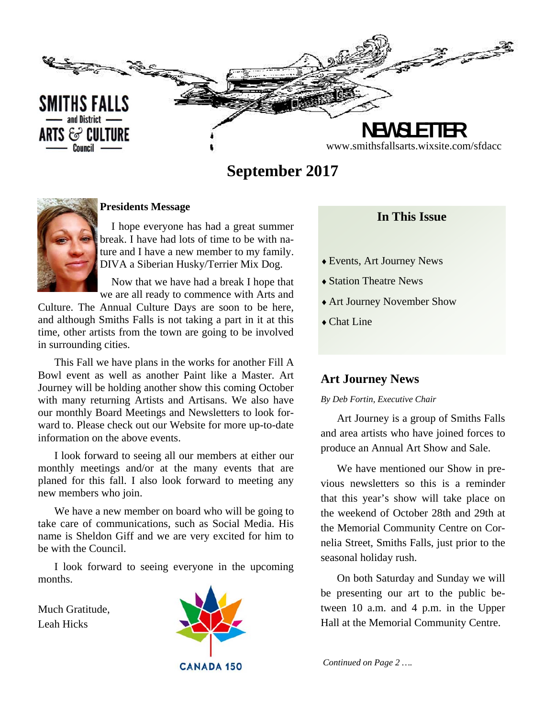

# **September 2017**



### **Presidents Message**

 I hope everyone has had a great summer break. I have had lots of time to be with nature and I have a new member to my family. DIVA a Siberian Husky/Terrier Mix Dog.

 Now that we have had a break I hope that we are all ready to commence with Arts and

Culture. The Annual Culture Days are soon to be here, and although Smiths Falls is not taking a part in it at this time, other artists from the town are going to be involved in surrounding cities.

 This Fall we have plans in the works for another Fill A Bowl event as well as another Paint like a Master. Art Journey will be holding another show this coming October with many returning Artists and Artisans. We also have our monthly Board Meetings and Newsletters to look forward to. Please check out our Website for more up-to-date information on the above events.

 I look forward to seeing all our members at either our monthly meetings and/or at the many events that are planed for this fall. I also look forward to meeting any new members who join.

We have a new member on board who will be going to take care of communications, such as Social Media. His name is Sheldon Giff and we are very excited for him to be with the Council.

 I look forward to seeing everyone in the upcoming months.

Much Gratitude, Leah Hicks



### **In This Issue**

- Events, Art Journey News
- Station Theatre News
- Art Journey November Show
- ◆ Chat Line

### **Art Journey News**

#### *By Deb Fortin, Executive Chair*

 Art Journey is a group of Smiths Falls and area artists who have joined forces to produce an Annual Art Show and Sale.

 We have mentioned our Show in previous newsletters so this is a reminder that this year's show will take place on the weekend of October 28th and 29th at the Memorial Community Centre on Cornelia Street, Smiths Falls, just prior to the seasonal holiday rush.

 On both Saturday and Sunday we will be presenting our art to the public between 10 a.m. and 4 p.m. in the Upper Hall at the Memorial Community Centre.

 *Continued on Page 2 ….*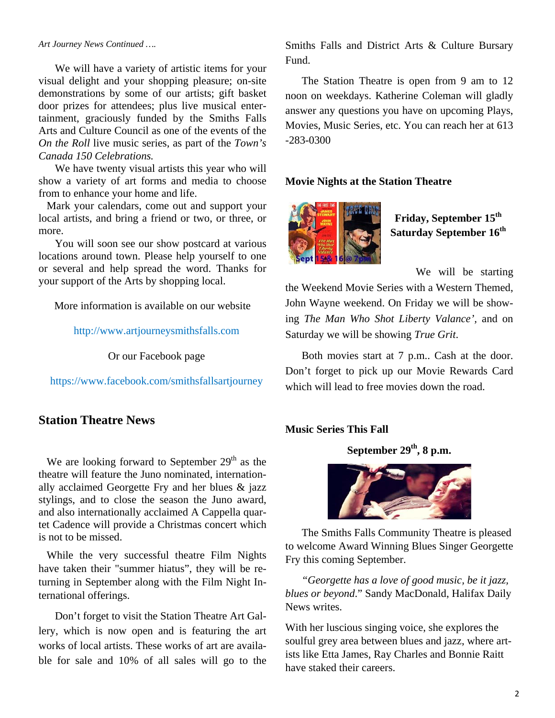*Art Journey News Continued ….* 

We will have a variety of artistic items for your visual delight and your shopping pleasure; on-site demonstrations by some of our artists; gift basket door prizes for attendees; plus live musical entertainment, graciously funded by the Smiths Falls Arts and Culture Council as one of the events of the *On the Roll* live music series, as part of the *Town's Canada 150 Celebrations.*

We have twenty visual artists this year who will show a variety of art forms and media to choose from to enhance your home and life.

Mark your calendars, come out and support your local artists, and bring a friend or two, or three, or more.

You will soon see our show postcard at various locations around town. Please help yourself to one or several and help spread the word. Thanks for your support of the Arts by shopping local.

More information is available on our website

http://www.artjourneysmithsfalls.com

Or our Facebook page

https://www.facebook.com/smithsfallsartjourney

### **Station Theatre News**

We are looking forward to September  $29<sup>th</sup>$  as the theatre will feature the Juno nominated, internationally acclaimed Georgette Fry and her blues & jazz stylings, and to close the season the Juno award, and also internationally acclaimed A Cappella quartet Cadence will provide a Christmas concert which is not to be missed.

While the very successful theatre Film Nights have taken their "summer hiatus", they will be returning in September along with the Film Night International offerings.

 Don't forget to visit the Station Theatre Art Gallery, which is now open and is featuring the art works of local artists. These works of art are available for sale and 10% of all sales will go to the Smiths Falls and District Arts & Culture Bursary Fund.

The Station Theatre is open from 9 am to 12 noon on weekdays. Katherine Coleman will gladly answer any questions you have on upcoming Plays, Movies, Music Series, etc. You can reach her at 613 -283-0300

#### **Movie Nights at the Station Theatre**



### **Friday, September 15th Saturday September 16th**

We will be starting

the Weekend Movie Series with a Western Themed, John Wayne weekend. On Friday we will be showing *The Man Who Shot Liberty Valance',* and on Saturday we will be showing *True Grit*.

 Both movies start at 7 p.m.. Cash at the door. Don't forget to pick up our Movie Rewards Card which will lead to free movies down the road.

### **Music Series This Fall**

September 29<sup>th</sup>, 8 p.m.



 The Smiths Falls Community Theatre is pleased to welcome Award Winning Blues Singer Georgette Fry this coming September.

 *"Georgette has a love of good music, be it jazz, blues or beyond*." Sandy MacDonald, Halifax Daily News writes.

With her luscious singing voice, she explores the soulful grey area between blues and jazz, where artists like Etta James, Ray Charles and Bonnie Raitt have staked their careers.